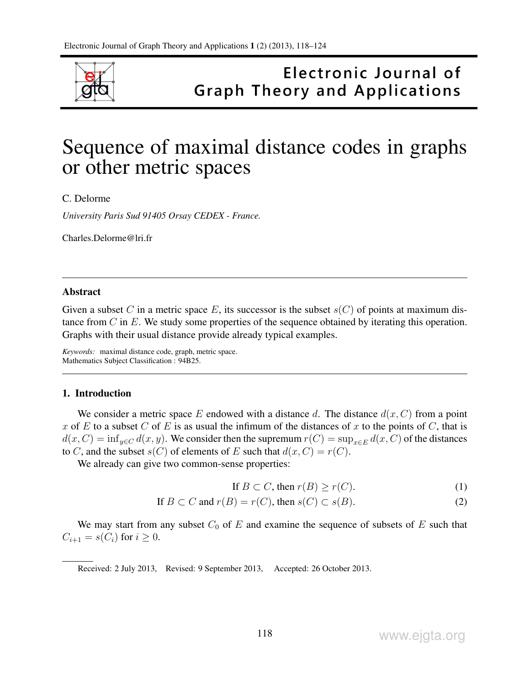

## Electronic Journal of **Graph Theory and Applications**

# Sequence of maximal distance codes in graphs or other metric spaces

C. Delorme

*University Paris Sud 91405 Orsay CEDEX - France.*

Charles.Delorme@lri.fr

#### Abstract

Given a subset C in a metric space E, its successor is the subset  $s(C)$  of points at maximum distance from  $C$  in  $E$ . We study some properties of the sequence obtained by iterating this operation. Graphs with their usual distance provide already typical examples.

*Keywords:* maximal distance code, graph, metric space. Mathematics Subject Classification : 94B25.

## 1. Introduction

We consider a metric space E endowed with a distance d. The distance  $d(x, C)$  from a point x of E to a subset C of E is as usual the infimum of the distances of x to the points of C, that is  $d(x, C) = \inf_{y \in C} d(x, y)$ . We consider then the supremum  $r(C) = \sup_{x \in E} d(x, C)$  of the distances to C, and the subset  $s(C)$  of elements of E such that  $d(x, C) = r(C)$ .

We already can give two common-sense properties:

If  $B \subset C$ , then  $r(B) \ge r(C)$ . (1)

If 
$$
B \subset C
$$
 and  $r(B) = r(C)$ , then  $s(C) \subset s(B)$ . (2)

We may start from any subset  $C_0$  of  $E$  and examine the sequence of subsets of  $E$  such that  $C_{i+1} = s(C_i)$  for  $i \geq 0$ .

Received: 2 July 2013, Revised: 9 September 2013, Accepted: 26 October 2013.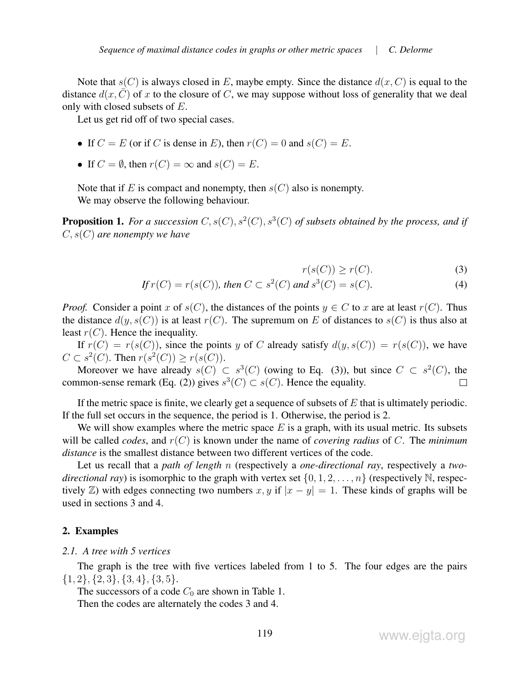Note that  $s(C)$  is always closed in E, maybe empty. Since the distance  $d(x, C)$  is equal to the distance  $d(x, C)$  of x to the closure of C, we may suppose without loss of generality that we deal only with closed subsets of E.

Let us get rid off of two special cases.

- If  $C = E$  (or if C is dense in E), then  $r(C) = 0$  and  $s(C) = E$ .
- If  $C = \emptyset$ , then  $r(C) = \infty$  and  $s(C) = E$ .

Note that if E is compact and nonempty, then  $s(C)$  also is nonempty. We may observe the following behaviour.

**Proposition 1.** For a succession  $C, s(C), s^2(C), s^3(C)$  of subsets obtained by the process, and if C, s(C) *are nonempty we have*

$$
r(s(C)) \ge r(C). \tag{3}
$$

$$
If r(C) = r(s(C)), then C \subset s2(C) and s3(C) = s(C).
$$
 (4)

*Proof.* Consider a point x of  $s(C)$ , the distances of the points  $y \in C$  to x are at least  $r(C)$ . Thus the distance  $d(y, s(C))$  is at least  $r(C)$ . The supremum on E of distances to  $s(C)$  is thus also at least  $r(C)$ . Hence the inequality.

If  $r(C) = r(s(C))$ , since the points y of C already satisfy  $d(y, s(C)) = r(s(C))$ , we have  $C \subset s^2(C)$ . Then  $r(s^2(C)) \ge r(s(C))$ .

Moreover we have already  $s(C) \subset s^3(C)$  (owing to Eq. (3)), but since  $C \subset s^2(C)$ , the common-sense remark (Eq. (2)) gives  $s^3(C) \subset s(C)$ . Hence the equality.  $\Box$ 

If the metric space is finite, we clearly get a sequence of subsets of  $E$  that is ultimately periodic. If the full set occurs in the sequence, the period is 1. Otherwise, the period is 2.

We will show examples where the metric space  $E$  is a graph, with its usual metric. Its subsets will be called *codes*, and  $r(C)$  is known under the name of *covering radius* of C. The *minimum distance* is the smallest distance between two different vertices of the code.

Let us recall that a *path of length* n (respectively a *one-directional ray*, respectively a *twodirectional ray*) is isomorphic to the graph with vertex set  $\{0, 1, 2, \ldots, n\}$  (respectively N, respectively  $\mathbb{Z}$ ) with edges connecting two numbers x, y if  $|x - y| = 1$ . These kinds of graphs will be used in sections 3 and 4.

#### 2. Examples

#### *2.1. A tree with 5 vertices*

The graph is the tree with five vertices labeled from 1 to 5. The four edges are the pairs  $\{1, 2\}, \{2, 3\}, \{3, 4\}, \{3, 5\}.$ 

The successors of a code  $C_0$  are shown in Table 1. Then the codes are alternately the codes 3 and 4.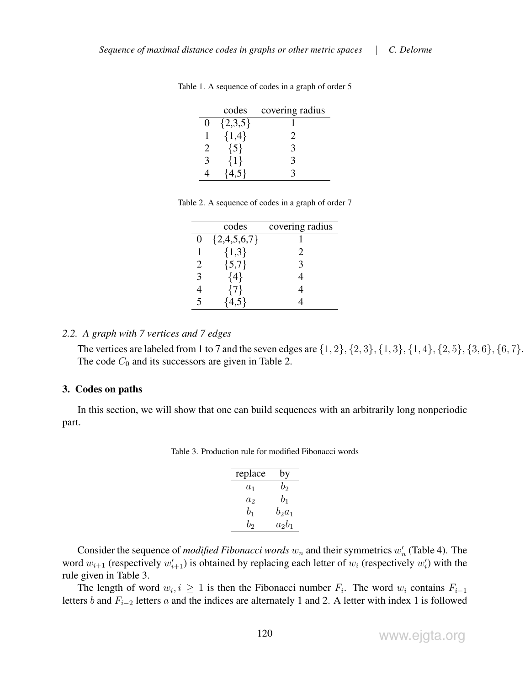|                   | codes     | covering radius |
|-------------------|-----------|-----------------|
| $\mathbf{\Omega}$ | ${2,3,5}$ |                 |
|                   | ${1,4}$   | $\overline{2}$  |
| 2                 | ${5}$     | 3               |
| 3                 | {1}       | 3               |
|                   |           |                 |

Table 1. A sequence of codes in a graph of order 5

| Table 2. A sequence of codes in a graph of order 7 |  |  |  |  |
|----------------------------------------------------|--|--|--|--|
|----------------------------------------------------|--|--|--|--|

|          | codes         | covering radius |
|----------|---------------|-----------------|
| $\theta$ | ${2,4,5,6,7}$ |                 |
|          | ${1,3}$       | 2.              |
| 2        | ${5,7}$       | 3               |
| 3        | {4}           |                 |
| 4        | {7}           |                 |
| 5        | L 5 J         |                 |

## *2.2. A graph with 7 vertices and 7 edges*

The vertices are labeled from 1 to 7 and the seven edges are  $\{1, 2\}, \{2, 3\}, \{1, 3\}, \{1, 4\}, \{2, 5\}, \{3, 6\}, \{6, 7\}.$ The code  $C_0$  and its successors are given in Table 2.

## 3. Codes on paths

In this section, we will show that one can build sequences with an arbitrarily long nonperiodic part.

Table 3. Production rule for modified Fibonacci words

| replace | by       |
|---------|----------|
| $a_1$   | $b_2$    |
| $a_2$   | $b_1$    |
| $b_1$   | $b_2a_1$ |
| $b_2$   | $a_2b_1$ |

Consider the sequence of *modified Fibonacci words*  $w_n$  and their symmetrics  $w'_n$  (Table 4). The word  $w_{i+1}$  (respectively  $w'_{i+1}$ ) is obtained by replacing each letter of  $w_i$  (respectively  $w'_i$ ) with the rule given in Table 3.

The length of word  $w_i, i \geq 1$  is then the Fibonacci number  $F_i$ . The word  $w_i$  contains  $F_{i-1}$ letters b and  $F_{i-2}$  letters a and the indices are alternately 1 and 2. A letter with index 1 is followed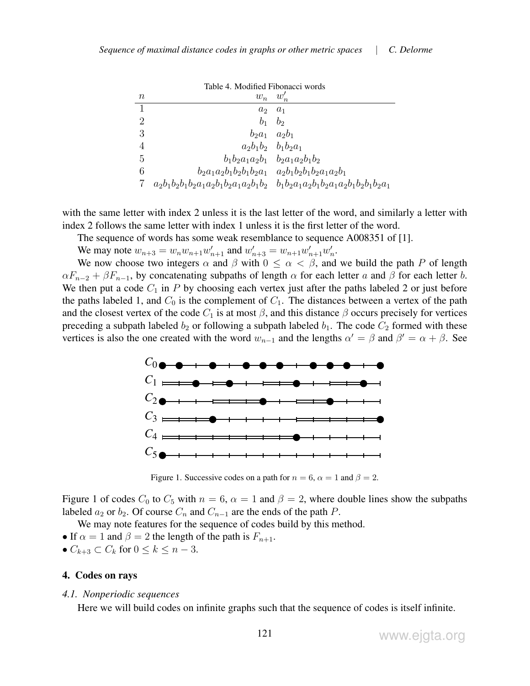| Table 4. Modified Fibonacci words |                                                                                     |                |
|-----------------------------------|-------------------------------------------------------------------------------------|----------------|
| $\it{n}$                          | $w_n \quad w'_n$                                                                    |                |
| 1                                 | $a_2$                                                                               | $a_1$          |
| 2                                 | $b_{1}$                                                                             | b <sub>2</sub> |
| 3                                 | $b_2a_1$                                                                            | $a_2b_1$       |
|                                   | $a_2b_1b_2$ $b_1b_2a_1$                                                             |                |
| 5                                 | $b_1b_2a_1a_2b_1$ $b_2a_1a_2b_1b_2$                                                 |                |
| 6                                 | $b_2a_1a_2b_1b_2b_1b_2a_1$ $a_2b_1b_2b_1b_2a_1a_2b_1$                               |                |
|                                   | $a_2b_1b_2b_1b_2a_1a_2b_1b_2a_1a_2b_1b_2$ $b_1b_2a_1a_2b_1b_2a_1a_2b_1b_2b_1b_2a_1$ |                |

with the same letter with index 2 unless it is the last letter of the word, and similarly a letter with index 2 follows the same letter with index 1 unless it is the first letter of the word.

The sequence of words has some weak resemblance to sequence A008351 of [1].

We may note  $w_{n+3} = w_n w_{n+1} w'_{n+1}$  and  $w'_{n+3} = w_{n+1} w'_{n+1} w'_{n}$ .

We now choose two integers  $\alpha$  and  $\beta$  with  $0 \leq \alpha < \beta$ , and we build the path P of length  $\alpha F_{n-2} + \beta F_{n-1}$ , by concatenating subpaths of length  $\alpha$  for each letter a and  $\beta$  for each letter b. We then put a code  $C_1$  in P by choosing each vertex just after the paths labeled 2 or just before the paths labeled 1, and  $C_0$  is the complement of  $C_1$ . The distances between a vertex of the path and the closest vertex of the code  $C_1$  is at most  $\beta$ , and this distance  $\beta$  occurs precisely for vertices preceding a subpath labeled  $b_2$  or following a subpath labeled  $b_1$ . The code  $C_2$  formed with these vertices is also the one created with the word  $w_{n-1}$  and the lengths  $\alpha' = \beta$  and  $\beta' = \alpha + \beta$ . See



Figure 1. Successive codes on a path for  $n = 6$ ,  $\alpha = 1$  and  $\beta = 2$ .

Figure 1 of codes  $C_0$  to  $C_5$  with  $n = 6$ ,  $\alpha = 1$  and  $\beta = 2$ , where double lines show the subpaths labeled  $a_2$  or  $b_2$ . Of course  $C_n$  and  $C_{n-1}$  are the ends of the path P.

We may note features for the sequence of codes build by this method.

- If  $\alpha = 1$  and  $\beta = 2$  the length of the path is  $F_{n+1}$ .
- $C_{k+3} \subset C_k$  for  $0 \le k \le n-3$ .

## 4. Codes on rays

#### *4.1. Nonperiodic sequences*

Here we will build codes on infinite graphs such that the sequence of codes is itself infinite.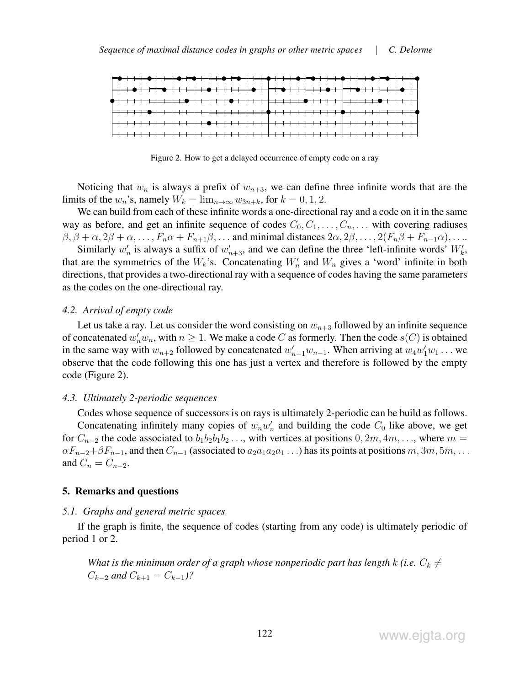

Figure 2. How to get a delayed occurrence of empty code on a ray

Noticing that  $w_n$  is always a prefix of  $w_{n+3}$ , we can define three infinite words that are the limits of the  $w_n$ 's, namely  $W_k = \lim_{n \to \infty} w_{3n+k}$ , for  $k = 0, 1, 2$ .

We can build from each of these infinite words a one-directional ray and a code on it in the same way as before, and get an infinite sequence of codes  $C_0, C_1, \ldots, C_n, \ldots$  with covering radiuses  $\beta$ ,  $\beta + \alpha$ ,  $2\beta + \alpha$ , ...,  $F_n\alpha + F_{n+1}\beta$ , ... and minimal distances  $2\alpha$ ,  $2\beta$ , ...,  $2(F_n\beta + F_{n-1}\alpha)$ , ...

Similarly  $w'_n$  is always a suffix of  $w'_{n+3}$ , and we can define the three 'left-infinite words'  $W'_k$ , that are the symmetrics of the  $W_k$ 's. Concatenating  $W'_n$  and  $W_n$  gives a 'word' infinite in both directions, that provides a two-directional ray with a sequence of codes having the same parameters as the codes on the one-directional ray.

## *4.2. Arrival of empty code*

Let us take a ray. Let us consider the word consisting on  $w_{n+3}$  followed by an infinite sequence of concatenated  $w'_n w_n$ , with  $n \geq 1$ . We make a code C as formerly. Then the code  $s(C)$  is obtained in the same way with  $w_{n+2}$  followed by concatenated  $w'_{n-1}w_{n-1}$ . When arriving at  $w_4w'_1w_1 \ldots$  we observe that the code following this one has just a vertex and therefore is followed by the empty code (Figure 2).

#### *4.3. Ultimately 2-periodic sequences*

Codes whose sequence of successors is on rays is ultimately 2-periodic can be build as follows. Concatenating infinitely many copies of  $w_nw'_n$  and building the code  $C_0$  like above, we get for  $C_{n-2}$  the code associated to  $b_1b_2b_1b_2\ldots$ , with vertices at positions  $0, 2m, 4m, \ldots$ , where  $m =$  $\alpha F_{n-2}+\beta F_{n-1}$ , and then  $C_{n-1}$  (associated to  $a_2a_1a_2a_1\dots$ ) has its points at positions  $m, 3m, 5m, \dots$ and  $C_n = C_{n-2}$ .

## 5. Remarks and questions

#### *5.1. Graphs and general metric spaces*

If the graph is finite, the sequence of codes (starting from any code) is ultimately periodic of period 1 or 2.

*What is the minimum order of a graph whose nonperiodic part has length k (i.e.*  $C_k \neq$  $C_{k-2}$  *and*  $C_{k+1} = C_{k-1}$ ?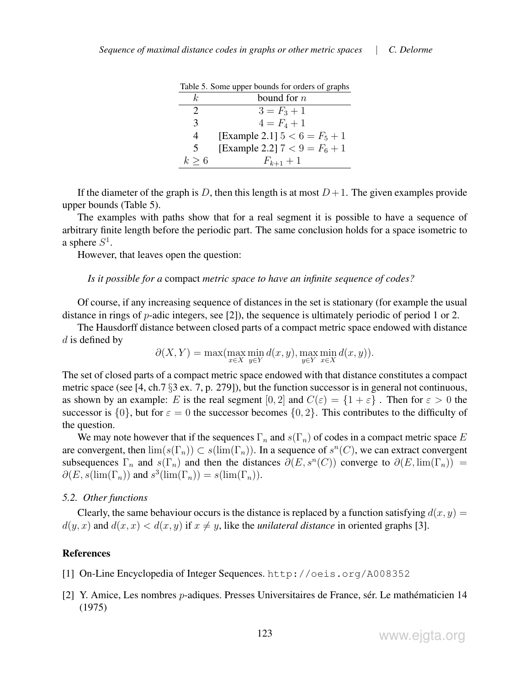|               | Table 5. Some upper bounds for orders of graphs |
|---------------|-------------------------------------------------|
| k.            | bound for $n$                                   |
| $\mathcal{L}$ | $3 = F_3 + 1$                                   |
| 3             | $4 = F_4 + 1$                                   |
| 4             | [Example 2.1] $5 < 6 = F_5 + 1$                 |
| 5             | [Example 2.2] $7 < 9 = F_6 + 1$                 |
| $k \geq 6$    | $F_{k+1} + 1$                                   |

 $T<sub>eff</sub>$   $\zeta$ . Some upper bounds for orders

If the diameter of the graph is D, then this length is at most  $D+1$ . The given examples provide upper bounds (Table 5).

The examples with paths show that for a real segment it is possible to have a sequence of arbitrary finite length before the periodic part. The same conclusion holds for a space isometric to a sphere  $S^1$ .

However, that leaves open the question:

*Is it possible for a* compact *metric space to have an infinite sequence of codes?*

Of course, if any increasing sequence of distances in the set is stationary (for example the usual distance in rings of  $p$ -adic integers, see [2]), the sequence is ultimately periodic of period 1 or 2.

The Hausdorff distance between closed parts of a compact metric space endowed with distance  $d$  is defined by

$$
\partial(X,Y) = \max(\max_{x \in X} \min_{y \in Y} d(x,y), \max_{y \in Y} \min_{x \in X} d(x,y)).
$$

The set of closed parts of a compact metric space endowed with that distance constitutes a compact metric space (see [4, ch.7 §3 ex. 7, p. 279]), but the function successor is in general not continuous, as shown by an example: E is the real segment  $[0, 2]$  and  $C(\varepsilon) = \{1 + \varepsilon\}$ . Then for  $\varepsilon > 0$  the successor is  $\{0\}$ , but for  $\varepsilon = 0$  the successor becomes  $\{0, 2\}$ . This contributes to the difficulty of the question.

We may note however that if the sequences  $\Gamma_n$  and  $s(\Gamma_n)$  of codes in a compact metric space E are convergent, then  $\lim(s(\Gamma_n)) \subset s(\lim(\Gamma_n))$ . In a sequence of  $s^n(C)$ , we can extract convergent subsequences  $\Gamma_n$  and  $s(\Gamma_n)$  and then the distances  $\partial(E, s^n(C))$  converge to  $\partial(E, \text{lim}(\Gamma_n))$  =  $\partial(E, s(\lim(\Gamma_n)) \text{ and } s^3(\lim(\Gamma_n)) = s(\lim(\Gamma_n)).$ 

## *5.2. Other functions*

Clearly, the same behaviour occurs is the distance is replaced by a function satisfying  $d(x, y) =$  $d(y, x)$  and  $d(x, x) < d(x, y)$  if  $x \neq y$ , like the *unilateral distance* in oriented graphs [3].

## References

- [1] On-Line Encyclopedia of Integer Sequences. http://oeis.org/A008352
- [2] Y. Amice, Les nombres  $p$ -adiques. Presses Universitaires de France, sér. Le mathématicien 14 (1975)